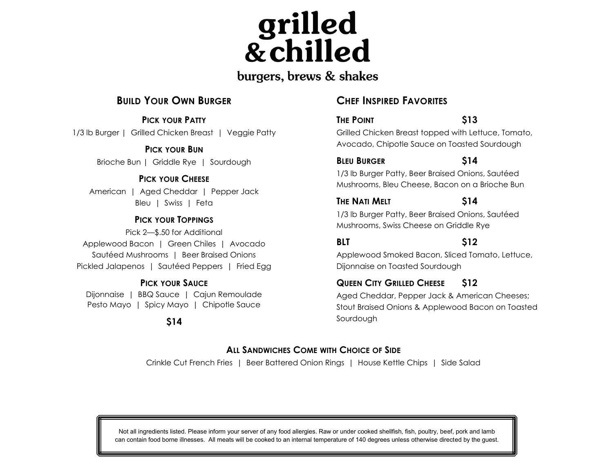grilled<br>& chilled

#### burgers, brews & shakes

#### **BUILD YOUR OWN BURGER**

**PICK YOUR PATTY** 1/3 lb Burger | Grilled Chicken Breast | Veggie Patty

> **PICK YOUR BUN** Brioche Bun | Griddle Rye | Sourdough

#### **PICK YOUR CHEESE**

American | Aged Cheddar | Pepper Jack Bleu | Swiss | Feta

#### **PICK YOUR TOPPINGS**

Pick 2—\$.50 for Additional Applewood Bacon | Green Chiles | Avocado Sautéed Mushrooms | Beer Braised Onions Pickled Jalapenos | Sautéed Peppers | Fried Egg

#### **PICK YOUR SAUCE**

Dijonnaise | BBQ Sauce | Cajun Remoulade Pesto Mayo | Spicy Mayo | Chipotle Sauce

**\$14**

#### **CHEF INSPIRED FAVORITES**

**THE POINT \$13** Grilled Chicken Breast topped with Lettuce, Tomato, Avocado, Chipotle Sauce on Toasted Sourdough

#### **BLEU BURGER \$14**

1/3 lb Burger Patty, Beer Braised Onions, Sautéed Mushrooms, Bleu Cheese, Bacon on a Brioche Bun

#### **THE NATI MELT \$14**

1/3 lb Burger Patty, Beer Braised Onions, Sautéed Mushrooms, Swiss Cheese on Griddle Rye

**BLT \$12**

Applewood Smoked Bacon, Sliced Tomato, Lettuce, Dijonnaise on Toasted Sourdough

#### **QUEEN CITY GRILLED CHEESE \$12**

Aged Cheddar, Pepper Jack & American Cheeses; Stout Braised Onions & Applewood Bacon on Toasted Sourdough

#### **ALL SANDWICHES COME WITH CHOICE OF SIDE**

Crinkle Cut French Fries | Beer Battered Onion Rings | House Kettle Chips | Side Salad

Not all ingredients listed. Please inform your server of any food allergies. Raw or under cooked shellfish, fish, poultry, beef, pork and lamb can contain food borne illnesses. All meats will be cooked to an internal temperature of 140 degrees unless otherwise directed by the guest.